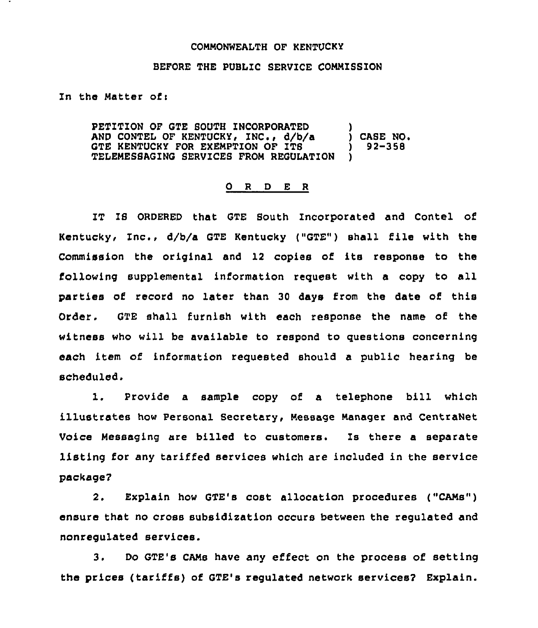## COMMONWEALTH OF KENTUCKY

## BEFORE THE PUBLIC SERVICE COMMISSION

In the Natter ofi

PETITION OF GTE SOUTH INCORPORATED AND CONTEL OF KENTUCKY, INC., d/b/a GTE KENTUCKY FOR EXEMPTION OF ITS TELENESSAGING SERVICES FROM REGULATION ) ) CASE NO. ) 92-358 )

## 0 <sup>R</sup> <sup>D</sup> E <sup>R</sup>

IT IS ORDERED that QTE South Incorporated and Contel of Kentuckyi Inc., d/b/a GTE Kentucky ("GTE") shall file with the Commission the original and 12 copies of its response to the following supplemental iniormation request with a copy to all parties of record no later than 30 days from the date of this Order. GTE shall furnish with each response the name of the witness who will be available to respond to questions concerning each item of information requested should a public hearing be scheduled.

1. Provide <sup>a</sup> sample copy of <sup>a</sup> telephone bill which illustrates how Personal Secretary, message manager and CentraNet Voice Messaging are billed to customers. Is there a separate listing for any tariffed services which are included in the service package?

2. Explain how GTE's cost allocation procedures ("CANs" ) ensure that no cross subsidization occurs between the regulated and nonregulated services.

3. Do GTE's CANs have any effect on the process of setting the prices (tariffs) of GTE's regulated network services? Explain.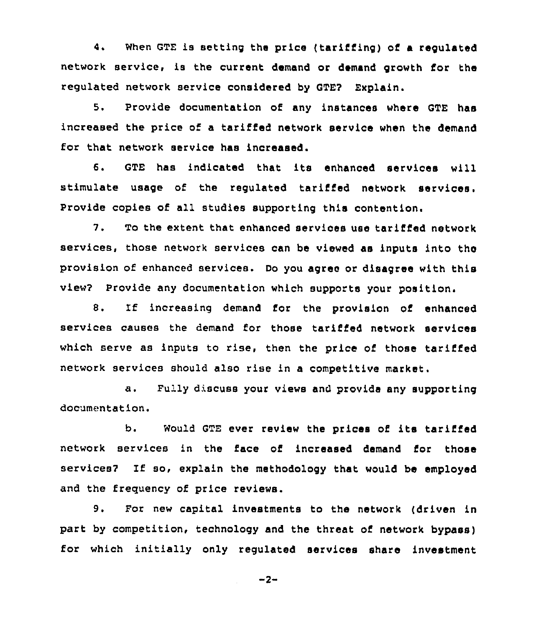4. when GTE is setting the price (tarifiing) of a regulated network service, is the current demand or demand growth for the regulated network service considered by GTEP Explain.

5. Provide documentation of any instances where GTE has increased the price of a tariffed network service when the demand for that network service has increased.

6. GTE has indicated that its enhanced services will stimulate usage of the regulated tariffed network services. Provide copies of all studies supporting this contention.

7. To the extent that enhanced services use tariffed network services, those network services can be viewed as inputs into the provision of enhanced services. Do you agree or disagree with this view? Provide any documentation which supports your position.

8. If increasing demand for the provision of enhanced services causes the demand for those tariffed network services which serve as inputs to rise, then the price of those tariffed network services should also rise in a competitive market.

a. Fully discuss your views and provide any supporting documentation.

b. Would GTE ever review the prices of its tarified network services in the face of increased demand for those services? If so, explain the methodology that would be employed and the freguency of price reviews.

9. For new capital investments to the network (driven in part by competition, technology and the threat of network bypass) for which initially only regulated services share investment

 $-2-$